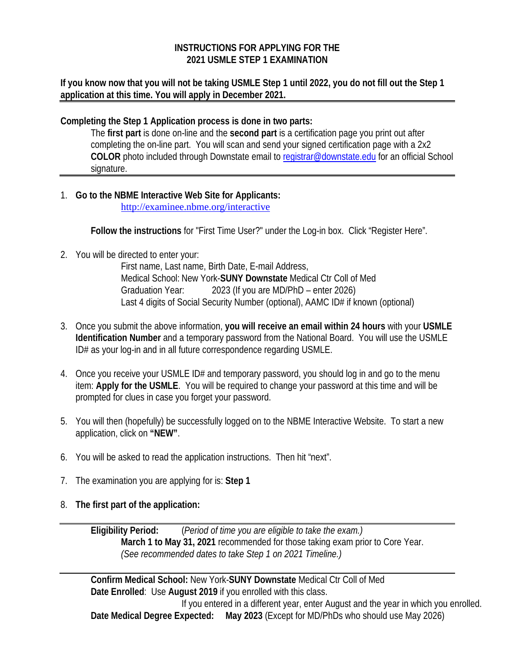## **INSTRUCTIONS FOR APPLYING FOR THE 2021 USMLE STEP 1 EXAMINATION**

**If you know now that you will not be taking USMLE Step 1 until 2022, you do not fill out the Step 1 application at this time. You will apply in December 2021.**

**Completing the Step 1 Application process is done in two parts:**

The **first part** is done on-line and the **second part** is a certification page you print out after completing the on-line part. You will scan and send your signed certification page with a 2x2 **COLOR** photo included through Downstate email to [registrar@downstate.edu](mailto:registrar@downstate.edu) for an official School signature.

1. **Go to the NBME Interactive Web Site for Applicants:** <http://examinee.nbme.org/interactive>

**Follow the instructions** for "First Time User?" under the Log-in box. Click "Register Here".

2. You will be directed to enter your:

First name, Last name, Birth Date, E-mail Address, Medical School: New York-**SUNY Downstate** Medical Ctr Coll of Med Graduation Year: 2023 (If you are MD/PhD – enter 2026) Last 4 digits of Social Security Number (optional), AAMC ID# if known (optional)

- 3. Once you submit the above information, **you will receive an email within 24 hours** with your **USMLE Identification Number** and a temporary password from the National Board. You will use the USMLE ID# as your log-in and in all future correspondence regarding USMLE.
- 4. Once you receive your USMLE ID# and temporary password, you should log in and go to the menu item: **Apply for the USMLE**. You will be required to change your password at this time and will be prompted for clues in case you forget your password.
- 5. You will then (hopefully) be successfully logged on to the NBME Interactive Website. To start a new application, click on **"NEW"**.
- 6. You will be asked to read the application instructions. Then hit "next".
- 7. The examination you are applying for is: **Step 1**
- 8. **The first part of the application:**

**Eligibility Period:** (*Period of time you are eligible to take the exam.)* **March 1 to May 31, 2021** recommended for those taking exam prior to Core Year. *(See recommended dates to take Step 1 on 2021 Timeline.)*

**Confirm Medical School:** New York-**SUNY Downstate** Medical Ctr Coll of Med **Date Enrolled**: Use **August 2019** if you enrolled with this class. If you entered in a different year, enter August and the year in which you enrolled. **Date Medical Degree Expected: May 2023** (Except for MD/PhDs who should use May 2026)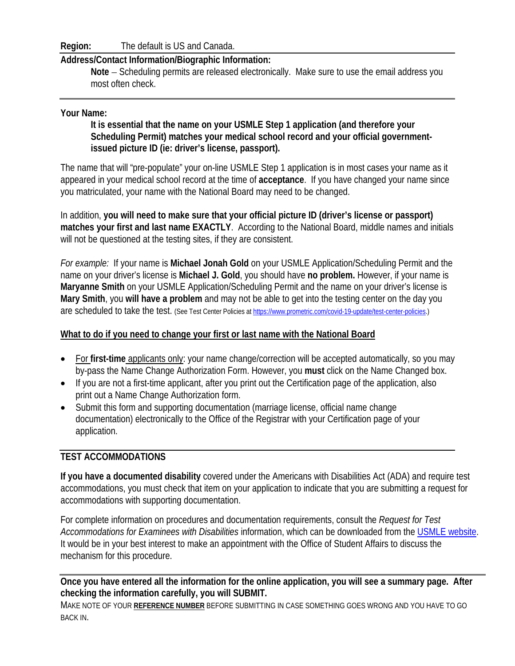**Region:** The default is US and Canada.

## **Address/Contact Information/Biographic Information:**

**Note** – Scheduling permits are released electronically. Make sure to use the email address you most often check.

## **Your Name:**

**It is essential that the name on your USMLE Step 1 application (and therefore your Scheduling Permit) matches your medical school record and your official governmentissued picture ID (ie: driver's license, passport).**

The name that will "pre-populate" your on-line USMLE Step 1 application is in most cases your name as it appeared in your medical school record at the time of **acceptance**. If you have changed your name since you matriculated, your name with the National Board may need to be changed.

In addition, **you will need to make sure that your official picture ID (driver's license or passport) matches your first and last name EXACTLY**. According to the National Board, middle names and initials will not be questioned at the testing sites, if they are consistent.

*For example:* If your name is **Michael Jonah Gold** on your USMLE Application/Scheduling Permit and the name on your driver's license is **Michael J. Gold**, you should have **no problem.** However, if your name is **Maryanne Smith** on your USMLE Application/Scheduling Permit and the name on your driver's license is **Mary Smith**, you **will have a problem** and may not be able to get into the testing center on the day you are scheduled to take the test. (See Test Center Policies a[t https://www.prometric.com/covid-19-update/test-center-policies.\)](https://www.prometric.com/covid-19-update/test-center-policies)

## **What to do if you need to change your first or last name with the National Board**

- For **first-time** applicants only: your name change/correction will be accepted automatically, so you may by-pass the Name Change Authorization Form. However, you **must** click on the Name Changed box.
- If you are not a first-time applicant, after you print out the Certification page of the application, also print out a Name Change Authorization form.
- Submit this form and supporting documentation (marriage license, official name change documentation) electronically to the Office of the Registrar with your Certification page of your application.

## **TEST ACCOMMODATIONS**

**If you have a documented disability** covered under the Americans with Disabilities Act (ADA) and require test accommodations, you must check that item on your application to indicate that you are submitting a request for accommodations with supporting documentation.

For complete information on procedures and documentation requirements, consult the *Request for Test Accommodations for Examinees with Disabilities* information, which can be downloaded from the [USMLE website.](https://usmle.org/test-accommodations/guidelines.html) It would be in your best interest to make an appointment with the Office of Student Affairs to discuss the mechanism for this procedure.

**Once you have entered all the information for the online application, you will see a summary page. After checking the information carefully, you will SUBMIT.** 

MAKE NOTE OF YOUR **REFERENCE NUMBER** BEFORE SUBMITTING IN CASE SOMETHING GOES WRONG AND YOU HAVE TO GO BACK IN.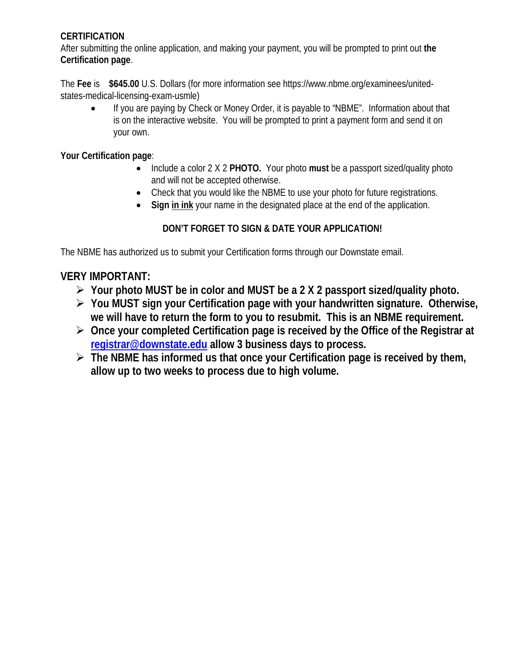## **CERTIFICATION**

After submitting the online application, and making your payment, you will be prompted to print out **the Certification page**.

The **Fee** is **\$645.00** U.S. Dollars (for more information see https://www.nbme.org/examinees/unitedstates-medical-licensing-exam-usmle)

• If you are paying by Check or Money Order, it is payable to "NBME". Information about that is on the interactive website. You will be prompted to print a payment form and send it on your own.

**Your Certification page**:

- Include a color 2 X 2 **PHOTO.** Your photo **must** be a passport sized/quality photo and will not be accepted otherwise.
- Check that you would like the NBME to use your photo for future registrations.
- **Sign in ink** your name in the designated place at the end of the application.

## **DON'T FORGET TO SIGN & DATE YOUR APPLICATION!**

The NBME has authorized us to submit your Certification forms through our Downstate email.

## **VERY IMPORTANT:**

- **Your photo MUST be in color and MUST be a 2 X 2 passport sized/quality photo.**
- **You MUST sign your Certification page with your handwritten signature. Otherwise, we will have to return the form to you to resubmit. This is an NBME requirement.**
- **Once your completed Certification page is received by the Office of the Registrar at [registrar@downstate.edu](mailto:registrar@downstate.edu) allow 3 business days to process.**
- **The NBME has informed us that once your Certification page is received by them, allow up to two weeks to process due to high volume.**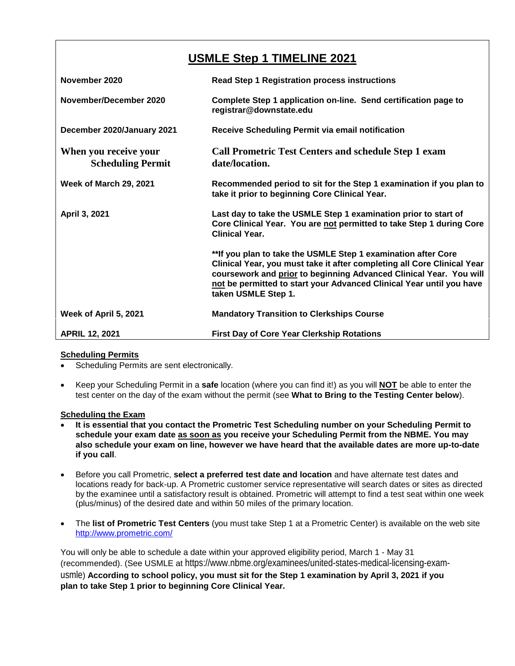# **USMLE Step 1 TIMELINE 2021**

| November 2020                                     | <b>Read Step 1 Registration process instructions</b>                                                                                                                                                                                                                                                          |
|---------------------------------------------------|---------------------------------------------------------------------------------------------------------------------------------------------------------------------------------------------------------------------------------------------------------------------------------------------------------------|
| November/December 2020                            | Complete Step 1 application on-line. Send certification page to<br>registrar@downstate.edu                                                                                                                                                                                                                    |
| December 2020/January 2021                        | Receive Scheduling Permit via email notification                                                                                                                                                                                                                                                              |
| When you receive your<br><b>Scheduling Permit</b> | <b>Call Prometric Test Centers and schedule Step 1 exam</b><br>date/location.                                                                                                                                                                                                                                 |
| <b>Week of March 29, 2021</b>                     | Recommended period to sit for the Step 1 examination if you plan to<br>take it prior to beginning Core Clinical Year.                                                                                                                                                                                         |
| April 3, 2021                                     | Last day to take the USMLE Step 1 examination prior to start of<br>Core Clinical Year. You are not permitted to take Step 1 during Core<br><b>Clinical Year.</b>                                                                                                                                              |
|                                                   | **If you plan to take the USMLE Step 1 examination after Core<br>Clinical Year, you must take it after completing all Core Clinical Year<br>coursework and prior to beginning Advanced Clinical Year. You will<br>not be permitted to start your Advanced Clinical Year until you have<br>taken USMLE Step 1. |
| Week of April 5, 2021                             | <b>Mandatory Transition to Clerkships Course</b>                                                                                                                                                                                                                                                              |
| <b>APRIL 12, 2021</b>                             | <b>First Day of Core Year Clerkship Rotations</b>                                                                                                                                                                                                                                                             |

### **Scheduling Permits**

- Scheduling Permits are sent electronically.
- Keep your Scheduling Permit in a **safe** location (where you can find it!) as you will **NOT** be able to enter the test center on the day of the exam without the permit (see **What to Bring to the Testing Center below**).

### **Scheduling the Exam**

- **It is essential that you contact the Prometric Test Scheduling number on your Scheduling Permit to schedule your exam date as soon as you receive your Scheduling Permit from the NBME. You may also schedule your exam on line, however we have heard that the available dates are more up-to-date if you call**.
- Before you call Prometric, **select a preferred test date and location** and have alternate test dates and locations ready for back-up. A Prometric customer service representative will search dates or sites as directed by the examinee until a satisfactory result is obtained. Prometric will attempt to find a test seat within one week (plus/minus) of the desired date and within 50 miles of the primary location.
- The **list of Prometric Test Centers** (you must take Step 1 at a Prometric Center) is available on the web site <http://www.prometric.com/>

You will only be able to schedule a date within your approved eligibility period, March 1 - May 31 (recommended). (See USMLE at https://www.nbme.org/examinees/united-states-medical-licensing-examusmle) **According to school policy, you must sit for the Step 1 examination by April 3, 2021 if you plan to take Step 1 prior to beginning Core Clinical Year.**